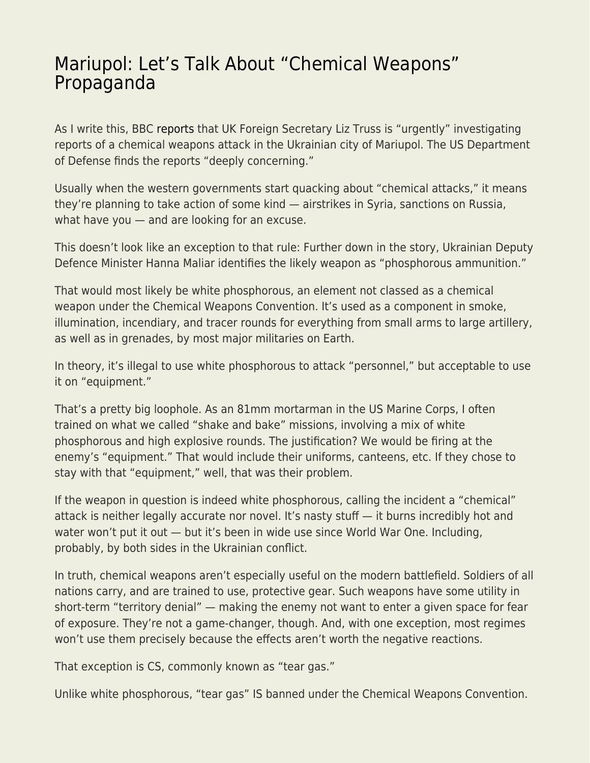## [Mariupol: Let's Talk About "Chemical Weapons"](https://everything-voluntary.com/mariupol-lets-talk-about-chemical-weapons-propaganda) [Propaganda](https://everything-voluntary.com/mariupol-lets-talk-about-chemical-weapons-propaganda)

As I write this, BBC [reports](https://www.bbc.com/news/world-europe-61077641) that UK Foreign Secretary Liz Truss is "urgently" investigating reports of a chemical weapons attack in the Ukrainian city of Mariupol. The US Department of Defense finds the reports "deeply concerning."

Usually when the western governments start quacking about "chemical attacks," it means they're planning to take action of some kind — airstrikes in Syria, sanctions on Russia, what have you — and are looking for an excuse.

This doesn't look like an exception to that rule: Further down in the story, Ukrainian Deputy Defence Minister Hanna Maliar identifies the likely weapon as "phosphorous ammunition."

That would most likely be white phosphorous, an element not classed as a chemical weapon under the Chemical Weapons Convention. It's used as a component in smoke, illumination, incendiary, and tracer rounds for everything from small arms to large artillery, as well as in grenades, by most major militaries on Earth.

In theory, it's illegal to use white phosphorous to attack "personnel," but acceptable to use it on "equipment."

That's a pretty big loophole. As an 81mm mortarman in the US Marine Corps, I often trained on what we called "shake and bake" missions, involving a mix of white phosphorous and high explosive rounds. The justification? We would be firing at the enemy's "equipment." That would include their uniforms, canteens, etc. If they chose to stay with that "equipment," well, that was their problem.

If the weapon in question is indeed white phosphorous, calling the incident a "chemical" attack is neither legally accurate nor novel. It's nasty stuff — it burns incredibly hot and water won't put it out — but it's been in wide use since World War One. Including, probably, by both sides in the Ukrainian conflict.

In truth, chemical weapons aren't especially useful on the modern battlefield. Soldiers of all nations carry, and are trained to use, protective gear. Such weapons have some utility in short-term "territory denial" — making the enemy not want to enter a given space for fear of exposure. They're not a game-changer, though. And, with one exception, most regimes won't use them precisely because the effects aren't worth the negative reactions.

That exception is CS, commonly known as "tear gas."

Unlike white phosphorous, "tear gas" IS banned under the Chemical Weapons Convention.